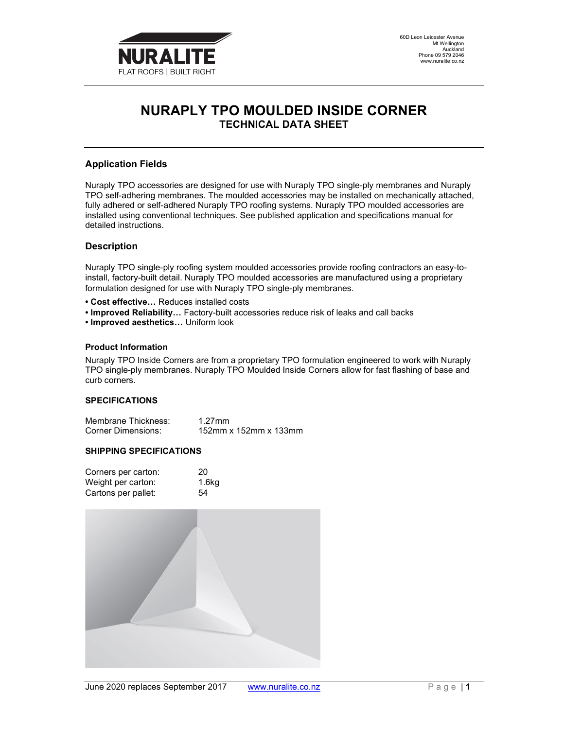

# NURAPLY TPO MOULDED INSIDE CORNER TECHNICAL DATA SHEET

## Application Fields

Nuraply TPO accessories are designed for use with Nuraply TPO single-ply membranes and Nuraply TPO self-adhering membranes. The moulded accessories may be installed on mechanically attached, fully adhered or self-adhered Nuraply TPO roofing systems. Nuraply TPO moulded accessories are installed using conventional techniques. See published application and specifications manual for detailed instructions.

#### **Description**

Nuraply TPO single-ply roofing system moulded accessories provide roofing contractors an easy-toinstall, factory-built detail. Nuraply TPO moulded accessories are manufactured using a proprietary formulation designed for use with Nuraply TPO single-ply membranes.

- Cost effective… Reduces installed costs
- Improved Reliability… Factory-built accessories reduce risk of leaks and call backs
- Improved aesthetics… Uniform look

#### Product Information

Nuraply TPO Inside Corners are from a proprietary TPO formulation engineered to work with Nuraply TPO single-ply membranes. Nuraply TPO Moulded Inside Corners allow for fast flashing of base and curb corners.

#### **SPECIFICATIONS**

| Membrane Thickness: | 1.27mm                |
|---------------------|-----------------------|
| Corner Dimensions:  | 152mm x 152mm x 133mm |

#### SHIPPING SPECIFICATIONS

| Corners per carton: | 20                |
|---------------------|-------------------|
| Weight per carton:  | 1.6 <sub>kq</sub> |
| Cartons per pallet: | 54                |